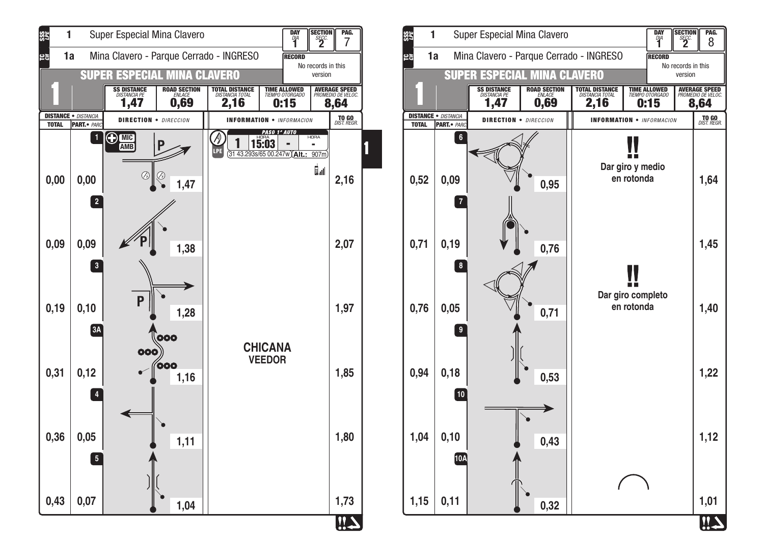